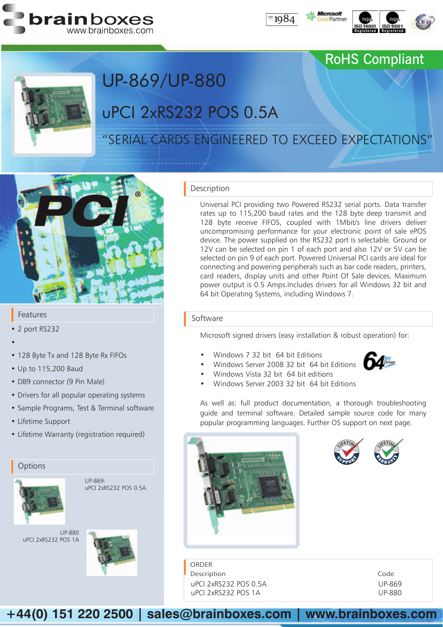





### RoHS Compliant



# uPCI 2xRS232 POS 0.5A UP-869/UP-880

### "SERIAL CARDs Engineered to Exceed Expectations"



#### Features

- • 2 port RS232
- •
- 128 Byte Tx and 128 Byte Rx FIFOs
- • Up to 115,200 Baud
- DB9 connector (9 Pin Male)
- Drivers for all popular operating systems
- Sample Programs, Test & Terminal software
- Lifetime Support
- Lifetime Warranty (registration required)

#### **Options**



UP-869: uPCI 2xRS232 POS 0.5A





#### Description

Universal PCI providing two Powered RS232 serial ports. Data transfer rates up to 115,200 baud rates and the 128 byte deep transmit and 128 byte receive FIFOS, coupled with 1Mbit/s line drivers deliver uncompromising performance for your electronic point of sale ePOS device. The power supplied on the RS232 port is selectable. Ground or 12V can be selected on pin 1 of each port and also 12V or 5V can be selected on pin 9 of each port. Powered Universal PCI cards are ideal for connecting and powering peripherals such as bar code readers, printers, card readers, display units and other Point Of Sale devices. Maximum power output is 0.5 Amps.Includes drivers for all Windows 32 bit and 64 bit Operating Systems, including Windows 7.

#### Software

Microsoft signed drivers (easy installation & robust operation) for:

- Windows 7 32 bit 64 bit Editions
- Windows Server 2008 32 bit 64 bit Editions
- Windows Vista 32 bit 64 bit editions
- Windows Server 2003 32 bit 64 bit Editions



As well as: full product documentation, a thorough troubleshooting guide and terminal software. Detailed sample source code for many popular programming languages. Further OS support on next page.



**ORDER** Description uPCI 2xRS232 POS 0.5A uPCI 2xRS232 POS 1A

| Code          |
|---------------|
| <b>UP-869</b> |
| UP-880        |

**+44(0) 151 220 2500 | sales@brainboxes.com | www.brainboxes.com**